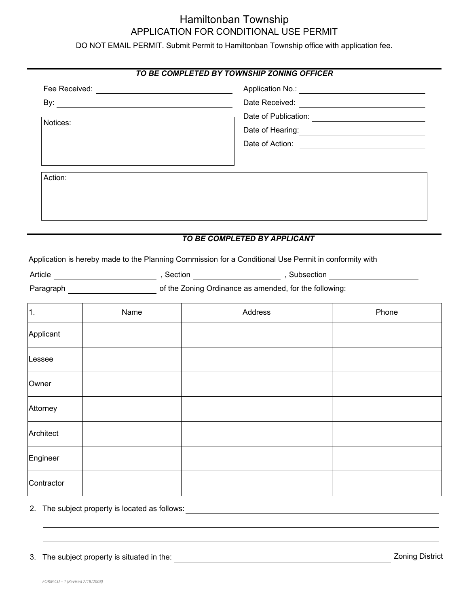## Hamiltonban Township APPLICATION FOR CONDITIONAL USE PERMIT

DO NOT EMAIL PERMIT. Submit Permit to Hamiltonban Township office with application fee.

|           |      | TO BE COMPLETED BY TOWNSHIP ZONING OFFICER                                                            |                                                                                                     |  |
|-----------|------|-------------------------------------------------------------------------------------------------------|-----------------------------------------------------------------------------------------------------|--|
|           |      |                                                                                                       |                                                                                                     |  |
|           |      |                                                                                                       |                                                                                                     |  |
|           |      |                                                                                                       |                                                                                                     |  |
| Notices:  |      |                                                                                                       |                                                                                                     |  |
|           |      |                                                                                                       | Date of Action:                                                                                     |  |
|           |      |                                                                                                       |                                                                                                     |  |
| Action:   |      |                                                                                                       |                                                                                                     |  |
|           |      |                                                                                                       |                                                                                                     |  |
|           |      |                                                                                                       |                                                                                                     |  |
|           |      |                                                                                                       |                                                                                                     |  |
|           |      |                                                                                                       |                                                                                                     |  |
|           |      | TO BE COMPLETED BY APPLICANT                                                                          |                                                                                                     |  |
|           |      | Application is hereby made to the Planning Commission for a Conditional Use Permit in conformity with |                                                                                                     |  |
|           |      |                                                                                                       | Article __________________________,Section _____________________,Subsection _______________________ |  |
|           |      | Paragraph <b>Example 2018</b> of the Zoning Ordinance as amended, for the following:                  |                                                                                                     |  |
|           |      |                                                                                                       |                                                                                                     |  |
| 1.        | Name | Address                                                                                               | Phone                                                                                               |  |
| Applicant |      |                                                                                                       |                                                                                                     |  |
| Lessee    |      |                                                                                                       |                                                                                                     |  |
| Owner     |      |                                                                                                       |                                                                                                     |  |
| Attorney  |      |                                                                                                       |                                                                                                     |  |
|           |      |                                                                                                       |                                                                                                     |  |
| Architect |      |                                                                                                       |                                                                                                     |  |
| Engineer  |      |                                                                                                       |                                                                                                     |  |

2. The subject property is located as follows:

**Contractor**